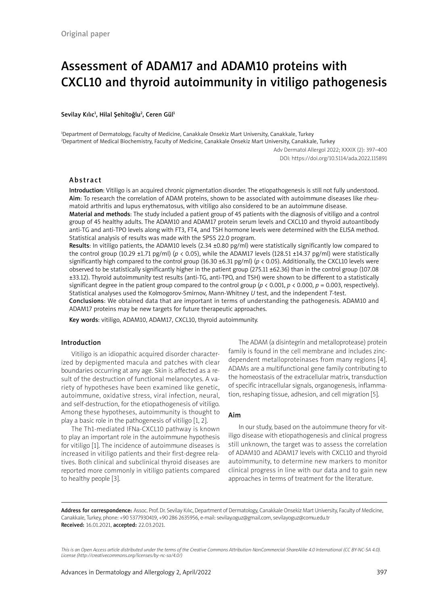# Assessment of ADAM17 and ADAM10 proteins with CXCL10 and thyroid autoimmunity in vitiligo pathogenesis

#### Sevilay Kılıc<sup>ı</sup>, Hilal Şehitoğlu<sup>2</sup>, Ceren Gül<sup>ı</sup>

1 Department of Dermatology, Faculty of Medicine, Canakkale Onsekiz Mart University, Canakkale, Turkey 2 Department of Medical Biochemistry, Faculty of Medicine, Canakkale Onsekiz Mart University, Canakkale, Turkey

> Adv Dermatol Allergol 2022; XXXIX (2): 397–400 DOI: https://doi.org/10.5114/ada.2022.115891

## Abstract

Introduction: Vitiligo is an acquired chronic pigmentation disorder. The etiopathogenesis is still not fully understood. Aim: To research the correlation of ADAM proteins, shown to be associated with autoimmune diseases like rheumatoid arthritis and lupus erythematosus, with vitiligo also considered to be an autoimmune disease.

Material and methods: The study included a patient group of 45 patients with the diagnosis of vitiligo and a control group of 45 healthy adults. The ADAM10 and ADAM17 protein serum levels and CXCL10 and thyroid autoantibody anti-TG and anti-TPO levels along with FT3, FT4, and TSH hormone levels were determined with the ELISA method. Statistical analysis of results was made with the SPSS 22.0 program.

Results: In vitiligo patients, the ADAM10 levels (2.34 ±0.80 pg/ml) were statistically significantly low compared to the control group (10.29 ±1.71 pg/ml) ( $p < 0.05$ ), while the ADAM17 levels (128.51 ±14.37 pg/ml) were statistically significantly high compared to the control group (16.30 ±6.31 pg/ml) ( $p < 0.05$ ). Additionally, the CXCL10 levels were observed to be statistically significantly higher in the patient group (275.11 ±62.36) than in the control group (107.08 ±33.12). Thyroid autoimmunity test results (anti-TG, anti-TPO, and TSH) were shown to be different to a statistically significant degree in the patient group compared to the control group ( $p < 0.001$ ,  $p < 0.000$ ,  $p = 0.003$ , respectively). Statistical analyses used the Kolmogorov-Smirnov, Mann-Whitney *U* test, and the independent *T*-test.

Conclusions: We obtained data that are important in terms of understanding the pathogenesis. ADAM10 and ADAM17 proteins may be new targets for future therapeutic approaches.

Key words: vitiligo, ADAM10, ADAM17, CXCL10, thyroid autoimmunity.

## Introduction

Vitiligo is an idiopathic acquired disorder characterized by depigmented macula and patches with clear boundaries occurring at any age. Skin is affected as a result of the destruction of functional melanocytes. A variety of hypotheses have been examined like genetic, autoimmune, oxidative stress, viral infection, neural, and self-destruction, for the etiopathogenesis of vitiligo. Among these hypotheses, autoimmunity is thought to play a basic role in the pathogenesis of vitiligo [1, 2].

The Th1-mediated IFNa-CXCL10 pathway is known to play an important role in the autoimmune hypothesis for vitiligo [1]. The incidence of autoimmune diseases is increased in vitiligo patients and their first-degree relatives. Both clinical and subclinical thyroid diseases are reported more commonly in vitiligo patients compared to healthy people [3].

The ADAM (a disintegrin and metalloprotease) protein family is found in the cell membrane and includes zincdependent metalloproteinases from many regions [4]. ADAMs are a multifunctional gene family contributing to the homeostasis of the extracellular matrix, transduction of specific intracellular signals, organogenesis, inflammation, reshaping tissue, adhesion, and cell migration [5].

#### Aim

In our study, based on the autoimmune theory for vitiligo disease with etiopathogenesis and clinical progress still unknown, the target was to assess the correlation of ADAM10 and ADAM17 levels with CXCL10 and thyroid autoimmunity, to determine new markers to monitor clinical progress in line with our data and to gain new approaches in terms of treatment for the literature.

Address for correspondence: Assoc. Prof. Dr. Sevilay Kılıc, Department of Dermatology, Canakkale Onsekiz Mart University, Faculty of Medicine, Canakkale, Turkey, phone: +90 5377930419, +90 286 2635956, e-mail: sevilay.oguz@gmail.com, sevilayoguz@comu.edu.tr Received: 16.01.2021, accepted: 22.03.2021.

*This is an Open Access article distributed under the terms of the Creative Commons Attribution-NonCommercial-ShareAlike 4.0 International (CC BY-NC-SA 4.0). License (http://creativecommons.org/licenses/by-nc-sa/4.0/)*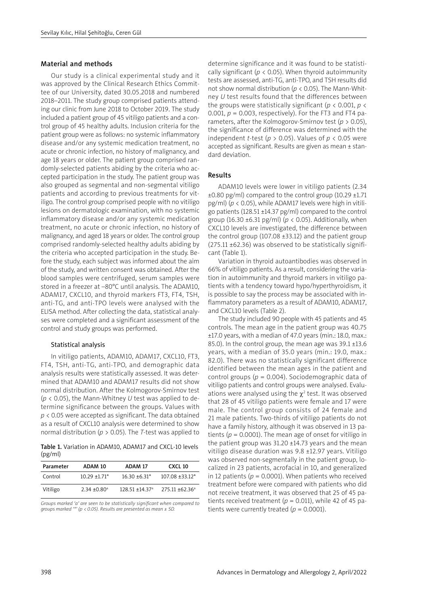#### Material and methods

Our study is a clinical experimental study and it was approved by the Clinical Research Ethics Committee of our University, dated 30.05.2018 and numbered 2018–2011. The study group comprised patients attending our clinic from June 2018 to October 2019. The study included a patient group of 45 vitiligo patients and a control group of 45 healthy adults. Inclusion criteria for the patient group were as follows: no systemic inflammatory disease and/or any systemic medication treatment, no acute or chronic infection, no history of malignancy, and age 18 years or older. The patient group comprised randomly-selected patients abiding by the criteria who accepted participation in the study. The patient group was also grouped as segmental and non-segmental vitiligo patients and according to previous treatments for vitiligo. The control group comprised people with no vitiligo lesions on dermatologic examination, with no systemic inflammatory disease and/or any systemic medication treatment, no acute or chronic infection, no history of malignancy, and aged 18 years or older. The control group comprised randomly-selected healthy adults abiding by the criteria who accepted participation in the study. Before the study, each subject was informed about the aim of the study, and written consent was obtained. After the blood samples were centrifuged, serum samples were stored in a freezer at –80°C until analysis. The ADAM10, ADAM17, CXCL10, and thyroid markers FT3, FT4, TSH, anti-TG, and anti-TPO levels were analysed with the ELISA method. After collecting the data, statistical analyses were completed and a significant assessment of the control and study groups was performed.

### Statistical analysis

In vitiligo patients, ADAM10, ADAM17, CXCL10, FT3, FT4, TSH, anti-TG, anti-TPO, and demographic data analysis results were statistically assessed. It was determined that ADAM10 and ADAM17 results did not show normal distribution. After the Kolmogorov-Smirnov test (*p* < 0.05), the Mann-Whitney *U* test was applied to determine significance between the groups. Values with *p* < 0.05 were accepted as significant. The data obtained as a result of CXCL10 analysis were determined to show normal distribution (*p* > 0.05). The *T*-test was applied to

Table 1. Variation in ADAM10, ADAM17 and CXCL-10 levels (pg/ml)

| Parameter | ADAM 10                    | ADAM 17                         | <b>CXCL 10</b>     |
|-----------|----------------------------|---------------------------------|--------------------|
| Control   | $10.29 + 1.71*$            | $16.30 + 6.31*$                 | $107.08 + 33.12*$  |
| Vitiligo  | $2.34 + 0.80$ <sup>a</sup> | $128.51 \pm 14.37$ <sup>a</sup> | $275.11 + 62.36^a$ |

*Groups marked 'a' are seen to be statistically significant when compared to groups marked '\*' (p < 0.05). Results are presented as mean ± SD.*

determine significance and it was found to be statistically significant ( $p < 0.05$ ). When thyroid autoimmunity tests are assessed, anti-TG, anti-TPO, and TSH results did not show normal distribution ( $p < 0.05$ ). The Mann-Whitney *U* test results found that the differences between the groups were statistically significant ( $p < 0.001$ ,  $p <$ 0.001,  $p = 0.003$ , respectively). For the FT3 and FT4 parameters, after the Kolmogorov-Smirnov test ( $p > 0.05$ ), the significance of difference was determined with the independent *t*-test ( $p > 0.05$ ). Values of  $p < 0.05$  were accepted as significant. Results are given as mean ± standard deviation.

#### Results

ADAM10 levels were lower in vitiligo patients (2.34  $\pm 0.80$  pg/ml) compared to the control group (10.29  $\pm 1.71$ ) pg/ml) (*p* < 0.05), while ADAM17 levels were high in vitiligo patients (128.51 ±14.37 pg/ml) compared to the control group (16.30  $\pm$ 6.31 pg/ml) ( $p < 0.05$ ). Additionally, when CXCL10 levels are investigated, the difference between the control group (107.08  $\pm$ 33.12) and the patient group (275.11 ±62.36) was observed to be statistically significant (Table 1).

Variation in thyroid autoantibodies was observed in 66% of vitiligo patients. As a result, considering the variation in autoimmunity and thyroid markers in vitiligo patients with a tendency toward hypo/hyperthyroidism, it is possible to say the process may be associated with inflammatory parameters as a result of ADAM10, ADAM17, and CXCL10 levels (Table 2).

The study included 90 people with 45 patients and 45 controls. The mean age in the patient group was 40.75 ±17.0 years, with a median of 47.0 years (min.: 18.0, max.: 85.0). In the control group, the mean age was 39.1 ±13.6 years, with a median of 35.0 years (min.: 19.0, max.: 82.0). There was no statistically significant difference identified between the mean ages in the patient and control groups ( $p = 0.004$ ). Sociodemographic data of vitiligo patients and control groups were analysed. Evaluations were analysed using the  $\chi^2$  test. It was observed that 28 of 45 vitiligo patients were female and 17 were male. The control group consists of 24 female and 21 male patients. Two-thirds of vitiligo patients do not have a family history, although it was observed in 13 patients ( $p = 0.0001$ ). The mean age of onset for vitiligo in the patient group was  $31.20 \pm 14.73$  years and the mean vitiligo disease duration was 9.8 ±12.97 years. Vitiligo was observed non-segmentally in the patient group, localized in 23 patients, acrofacial in 10, and generalized in 12 patients ( $p = 0.0001$ ). When patients who received treatment before were compared with patients who did not receive treatment, it was observed that 25 of 45 patients received treatment ( $p = 0.011$ ), while 42 of 45 patients were currently treated  $(p = 0.0001)$ .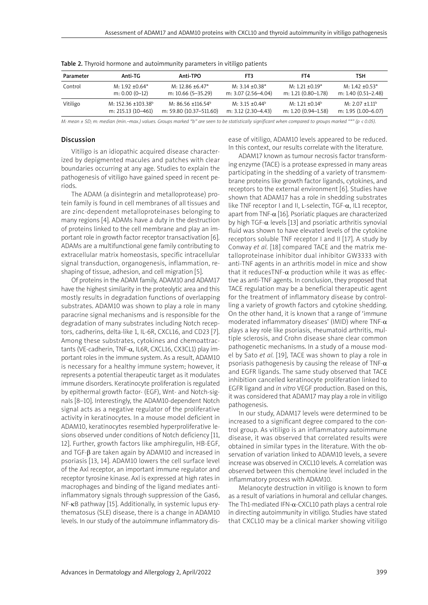| Parameter | Anti-TG                        | Anti-TPO                | FT3                             | FT4                  | TSH                  |
|-----------|--------------------------------|-------------------------|---------------------------------|----------------------|----------------------|
|           |                                |                         |                                 |                      |                      |
| Control   | $M: 1.92 + 0.64*$              | $M: 12.86 + 6.47*$      | $M: 3.14 \pm 0.38^*$            | $M: 1.21 \pm 0.19*$  | $M: 1.42 \pm 0.53^*$ |
|           | $m: 0.00 (0-12)$               | m: 10.66 (5-35.29)      | m: 3.07 (2.56-4.04)             | m: 1.21 (0.80–1.78)  | m: 1.40 (0.51-2.48)  |
| Vitiligo  | M: 152.36 +103.38 <sup>b</sup> | M: $86.56 + 116.54^b$   | M: 3.15 $\pm$ 0.44 <sup>b</sup> | $M: 1.21 \pm 0.14^b$ | $M: 2.07 \pm 1.11^b$ |
|           | m: 215.13 (10-461)             | m: 59.80 (10.37-511.60) | m: 3.12 (2.30–4.43)             | m: 1.20 (0.94-1.58)  | m: 1.95 (1.00–6.07)  |

Table 2. Thyroid hormone and autoimmunity parameters in vitiligo patients

*M: mean ± SD; m: median (min.–max.) values. Groups marked "b" are seen to be statistically significant when compared to groups marked "\*" (p < 0.05).*

# Discussion

Vitiligo is an idiopathic acquired disease characterized by depigmented macules and patches with clear boundaries occurring at any age. Studies to explain the pathogenesis of vitiligo have gained speed in recent periods.

The ADAM (a disintegrin and metalloprotease) protein family is found in cell membranes of all tissues and are zinc-dependent metalloproteinases belonging to many regions [4]. ADAMs have a duty in the destruction of proteins linked to the cell membrane and play an important role in growth factor receptor transactivation [6]. ADAMs are a multifunctional gene family contributing to extracellular matrix homeostasis, specific intracellular signal transduction, organogenesis, inflammation, reshaping of tissue, adhesion, and cell migration [5].

Of proteins in the ADAM family, ADAM10 and ADAM17 have the highest similarity in the proteolytic area and this mostly results in degradation functions of overlapping substrates. ADAM10 was shown to play a role in many paracrine signal mechanisms and is responsible for the degradation of many substrates including Notch receptors, cadherins, delta-like 1, IL-6R, CXCL16, and CD23 [7]. Among these substrates, cytokines and chemoattractants (VE-cadherin, TNF-α, IL6R, CXCL16, CX3CL1) play important roles in the immune system. As a result, ADAM10 is necessary for a healthy immune system; however, it represents a potential therapeutic target as it modulates immune disorders. Keratinocyte proliferation is regulated by epithermal growth factor- (EGF), Wnt- and Notch-signals [8–10]. Interestingly, the ADAM10-dependent Notch signal acts as a negative regulator of the proliferative activity in keratinocytes. In a mouse model deficient in ADAM10, keratinocytes resembled hyperproliferative lesions observed under conditions of Notch deficiency [11, 12]. Further, growth factors like amphiregulin, HB-EGF, and TGF- $\beta$  are taken again by ADAM10 and increased in psoriasis [13, 14]. ADAM10 lowers the cell surface level of the Axl receptor, an important immune regulator and receptor tyrosine kinase. Axl is expressed at high rates in macrophages and binding of the ligand mediates antiinflammatory signals through suppression of the Gas6, NF-κB pathway [15]. Additionally, in systemic lupus erythematosus (SLE) disease, there is a change in ADAM10 levels. In our study of the autoimmune inflammatory disease of vitiligo, ADAM10 levels appeared to be reduced. In this context, our results correlate with the literature.

ADAM17 known as tumour necrosis factor transforming enzyme (TACE) is a protease expressed in many areas participating in the shedding of a variety of transmembrane proteins like growth factor ligands, cytokines, and receptors to the external environment [6]. Studies have shown that ADAM17 has a role in shedding substrates like TNF receptor I and II, L-selectin, TGF- $\alpha$ , IL1 receptor, apart from TNF- $\alpha$  [16]. Psoriatic plaques are characterized by high TGF- $\alpha$  levels [13] and psoriatic arthritis synovial fluid was shown to have elevated levels of the cytokine receptors soluble TNF receptor I and II [17]. A study by Conway *et al.* [18] compared TACE and the matrix metalloproteinase inhibitor dual inhibitor GW3333 with anti-TNF agents in an arthritis model in mice and show that it reducesTNF- $\alpha$  production while it was as effective as anti-TNF agents. In conclusion, they proposed that TACE regulation may be a beneficial therapeutic agent for the treatment of inflammatory disease by controlling a variety of growth factors and cytokine shedding. On the other hand, it is known that a range of 'immune moderated inflammatory diseases' (IMID) where TNF- $\alpha$ plays a key role like psoriasis, rheumatoid arthritis, multiple sclerosis, and Crohn disease share clear common pathogenetic mechanisms. In a study of a mouse model by Sato *et al.* [19], TACE was shown to play a role in psoriasis pathogenesis by causing the release of TNF- $\alpha$ and EGFR ligands. The same study observed that TACE inhibition cancelled keratinocyte proliferation linked to EGFR ligand and *in vitro* VEGF production. Based on this, it was considered that ADAM17 may play a role in vitiligo pathogenesis.

In our study, ADAM17 levels were determined to be increased to a significant degree compared to the control group. As vitiligo is an inflammatory autoimmune disease, it was observed that correlated results were obtained in similar types in the literature. With the observation of variation linked to ADAM10 levels, a severe increase was observed in CXCL10 levels. A correlation was observed between this chemokine level included in the inflammatory process with ADAM10.

Melanocyte destruction in vitiligo is known to form as a result of variations in humoral and cellular changes. The Th1-mediated IFN- $\alpha$ -CXCL10 path plays a central role in directing autoimmunity in vitiligo. Studies have stated that CXCL10 may be a clinical marker showing vitiligo